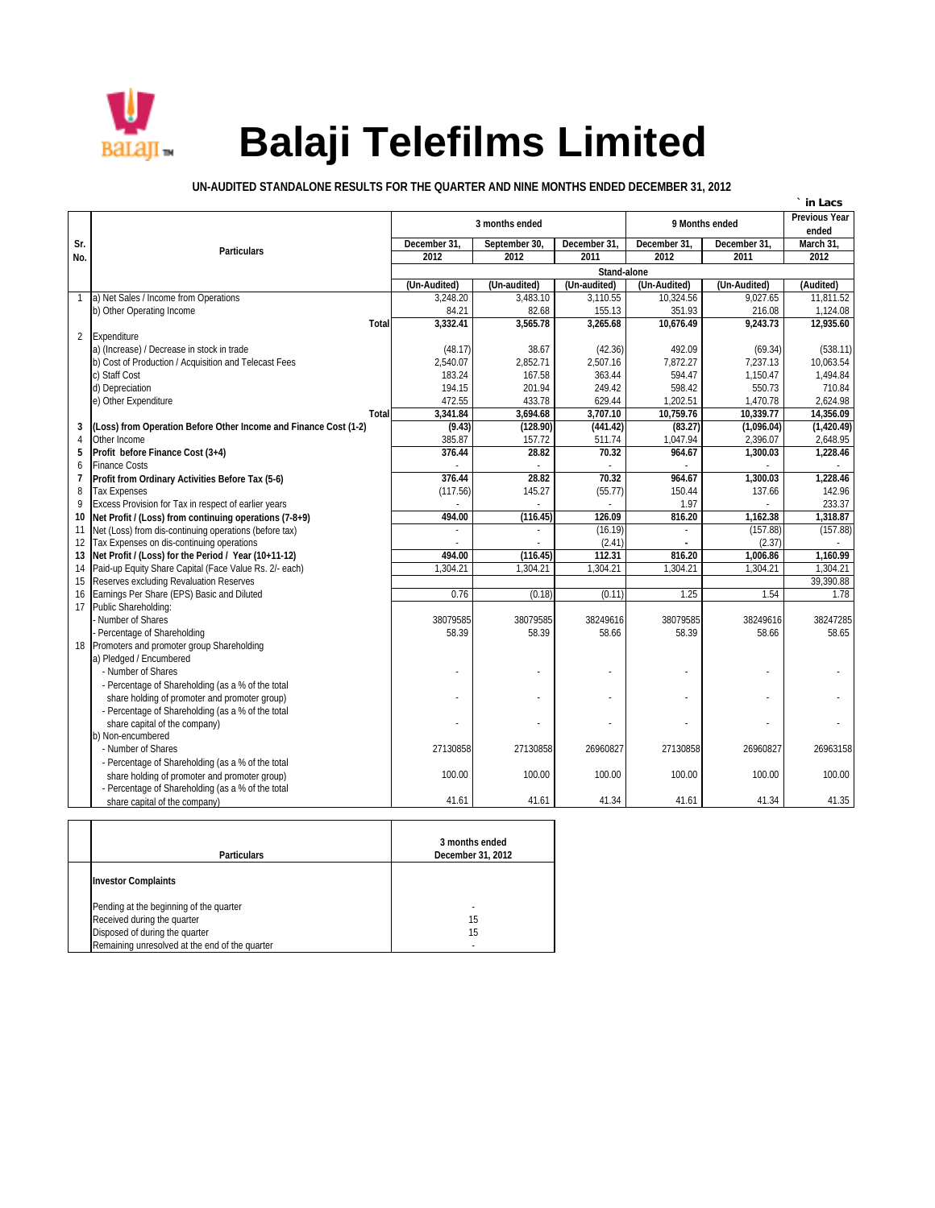

## **Balaji Telefilms Limited**

**UN-AUDITED STANDALONE RESULTS FOR THE QUARTER AND NINE MONTHS ENDED DECEMBER 31, 2012**

|                |                                                                                                                  |                     |                |                               |                |                     | in Lacs               |  |  |  |  |
|----------------|------------------------------------------------------------------------------------------------------------------|---------------------|----------------|-------------------------------|----------------|---------------------|-----------------------|--|--|--|--|
|                |                                                                                                                  | 3 months ended      | 9 Months ended | <b>Previous Year</b><br>ended |                |                     |                       |  |  |  |  |
| Sr.            |                                                                                                                  | December 31,        | September 30   | December 31.                  | December 31    | December 31.        | March 31              |  |  |  |  |
| No.            | <b>Particulars</b>                                                                                               | 2012                | 2012           | 2011                          | 2012           | 2011                | 2012                  |  |  |  |  |
|                |                                                                                                                  | Stand-alone         |                |                               |                |                     |                       |  |  |  |  |
|                |                                                                                                                  | (Un-Audited)        | (Un-audited)   | (Un-audited)                  | (Un-Audited)   | (Un-Audited)        | (Audited)             |  |  |  |  |
|                | a) Net Sales / Income from Operations                                                                            | 3,248.20            | 3,483.10       | 3,110.55                      | 10.324.56      | 9.027.65            | 11.811.52             |  |  |  |  |
|                | b) Other Operating Income                                                                                        | 84.21               | 82.68          | 155.13                        | 351.93         | 216.08              | 1,124.08              |  |  |  |  |
|                | <b>Total</b>                                                                                                     | 3,332.41            | 3,565.78       | 3.265.68                      | 10,676.49      | 9,243.73            | 12,935.60             |  |  |  |  |
|                | 2 Expenditure<br>a) (Increase) / Decrease in stock in trade                                                      |                     | 38.67          |                               | 492.09         |                     |                       |  |  |  |  |
|                | b) Cost of Production / Acquisition and Telecast Fees                                                            | (48.17)<br>2,540.07 | 2,852.71       | (42.36)<br>2,507.16           | 7,872.27       | (69.34)<br>7.237.13 | (538.11)<br>10.063.54 |  |  |  |  |
|                | c) Staff Cost                                                                                                    | 183.24              | 167.58         | 363.44                        | 594.47         | 1,150.47            | 1,494.84              |  |  |  |  |
|                | d) Depreciation                                                                                                  | 194.15              | 201.94         | 249.42                        | 598.42         | 550.73              | 710.84                |  |  |  |  |
|                | e) Other Expenditure                                                                                             | 472.55              | 433.78         | 629.44                        | 1,202.51       | 1,470.78            | 2,624.98              |  |  |  |  |
|                | <b>Total</b>                                                                                                     | 3,341.84            | 3.694.68       | 3.707.10                      | 10.759.76      | 10.339.77           | 14.356.09             |  |  |  |  |
| 3              | (Loss) from Operation Before Other Income and Finance Cost (1-2)                                                 | (9.43)              | (128.90)       | (441.42)                      | (83.27)        | (1,096.04)          | (1,420.49)            |  |  |  |  |
| $\overline{4}$ | Other Income                                                                                                     | 385.87              | 157.72         | 511.74                        | 1,047.94       | 2,396.07            | 2,648.95              |  |  |  |  |
| 5              | Profit before Finance Cost (3+4)                                                                                 | 376.44              | 28.82          | 70.32                         | 964.67         | 1,300.03            | 1,228.46              |  |  |  |  |
| 6              | <b>Finance Costs</b>                                                                                             |                     |                |                               |                |                     |                       |  |  |  |  |
| 7              | Profit from Ordinary Activities Before Tax (5-6)                                                                 | 376.44              | 28.82          | 70.32                         | 964.67         | 1,300.03            | 1.228.46              |  |  |  |  |
| 8              | <b>Tax Expenses</b>                                                                                              | (117.56)            | 145.27         | (55.77)                       | 150.44         | 137.66              | 142.96                |  |  |  |  |
| 9<br>10        | Excess Provision for Tax in respect of earlier years                                                             | 494.00              | (116.45)       | 126.09                        | 1.97<br>816.20 | 1,162.38            | 233.37<br>1.318.87    |  |  |  |  |
| 11             | Net Profit / (Loss) from continuing operations (7-8+9)<br>Net (Loss) from dis-continuing operations (before tax) |                     |                | (16.19)                       |                | (157.88)            | (157.88)              |  |  |  |  |
| 12             | Tax Expenses on dis-continuing operations                                                                        |                     |                | (2.41)                        |                | (2.37)              |                       |  |  |  |  |
| 13             | Net Profit / (Loss) for the Period / Year (10+11-12)                                                             | 494.00              | (116.45)       | 112.31                        | 816.20         | 1,006.86            | 1,160.99              |  |  |  |  |
| 14             | Paid-up Equity Share Capital (Face Value Rs. 2/- each)                                                           | 1,304.21            | 1,304.21       | 1,304.21                      | 1,304.21       | 1,304.21            | 1,304.21              |  |  |  |  |
| 15             | Reserves excluding Revaluation Reserves                                                                          |                     |                |                               |                |                     | 39,390.88             |  |  |  |  |
| 16             | Earnings Per Share (EPS) Basic and Diluted                                                                       | 0.76                | (0.18)         | (0.11)                        | 1.25           | 1.54                | 1.78                  |  |  |  |  |
| 17             | Public Shareholding:                                                                                             |                     |                |                               |                |                     |                       |  |  |  |  |
|                | Number of Shares                                                                                                 | 38079585            | 38079585       | 38249616                      | 38079585       | 38249616            | 38247285              |  |  |  |  |
|                | Percentage of Shareholding                                                                                       | 58.39               | 58.39          | 58.66                         | 58.39          | 58.66               | 58.65                 |  |  |  |  |
|                | 18 Promoters and promoter group Shareholding                                                                     |                     |                |                               |                |                     |                       |  |  |  |  |
|                | a) Pledged / Encumbered<br>- Number of Shares                                                                    |                     |                |                               |                |                     |                       |  |  |  |  |
|                | - Percentage of Shareholding (as a % of the total                                                                |                     |                |                               |                |                     |                       |  |  |  |  |
|                | share holding of promoter and promoter group)                                                                    |                     |                |                               |                |                     |                       |  |  |  |  |
|                | - Percentage of Shareholding (as a % of the total                                                                |                     |                |                               |                |                     |                       |  |  |  |  |
|                | share capital of the company)                                                                                    |                     |                |                               |                |                     |                       |  |  |  |  |
|                | b) Non-encumbered                                                                                                |                     |                |                               |                |                     |                       |  |  |  |  |
|                | - Number of Shares                                                                                               | 27130858            | 27130858       | 26960827                      | 27130858       | 26960827            | 26963158              |  |  |  |  |
|                | - Percentage of Shareholding (as a % of the total                                                                |                     |                |                               |                |                     |                       |  |  |  |  |
|                | share holding of promoter and promoter group)                                                                    | 100.00              | 100.00         | 100.00                        | 100.00         | 100.00              | 100.00                |  |  |  |  |
|                | - Percentage of Shareholding (as a % of the total                                                                |                     |                |                               |                |                     |                       |  |  |  |  |
|                | share capital of the company)                                                                                    | 41.61               | 41.61          | 41.34                         | 41.61          | 41.34               | 41.35                 |  |  |  |  |

| <b>Particulars</b>                             | 3 months ended<br>December 31, 2012 |  |  |  |  |  |
|------------------------------------------------|-------------------------------------|--|--|--|--|--|
| <b>Investor Complaints</b>                     |                                     |  |  |  |  |  |
| Pending at the beginning of the quarter        |                                     |  |  |  |  |  |
| Received during the quarter                    | 15                                  |  |  |  |  |  |
| Disposed of during the quarter                 | 15                                  |  |  |  |  |  |
| Remaining unresolved at the end of the quarter |                                     |  |  |  |  |  |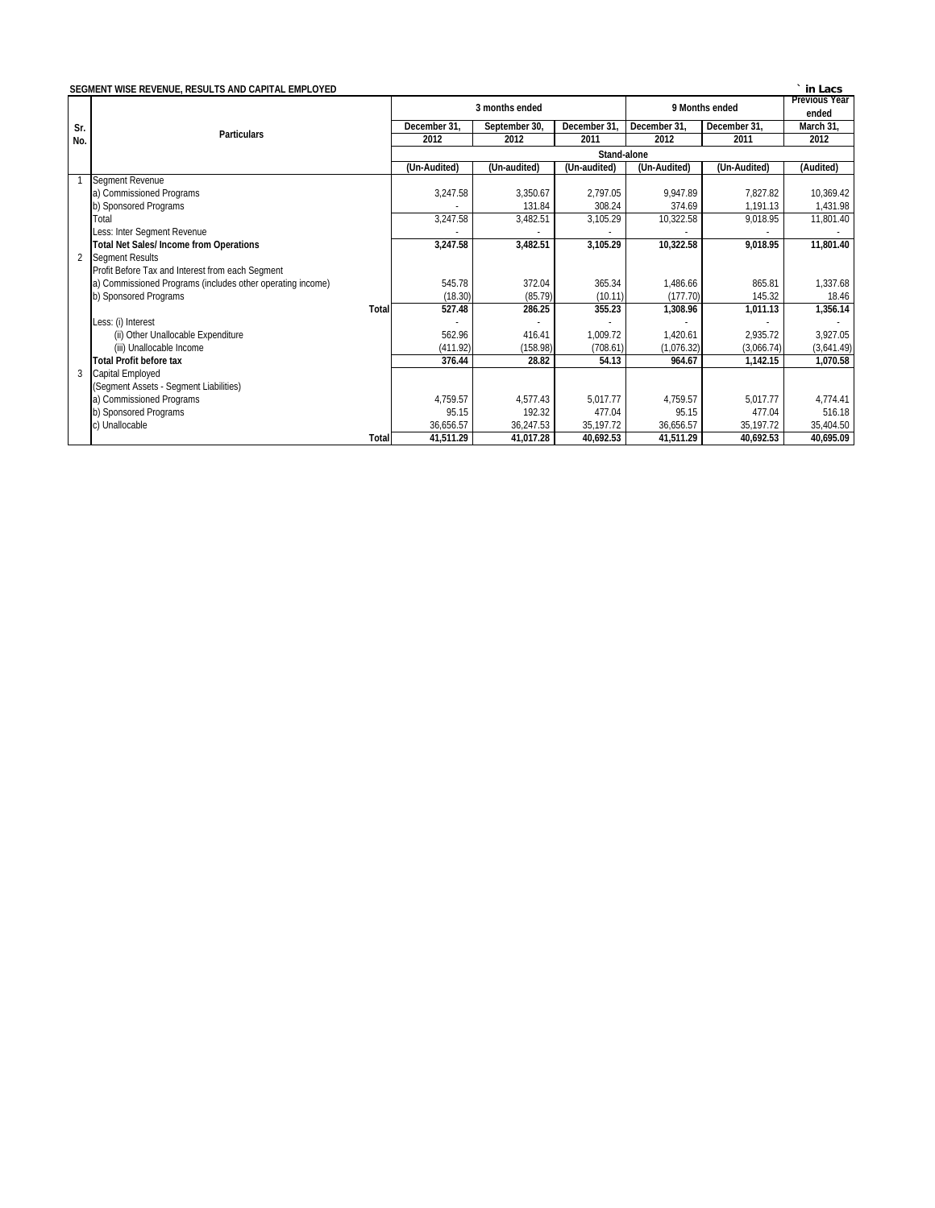|     | SEGMENT WISE REVENUE, RESULTS AND CAPITAL EMPLOYED         |              |                |               |                |                      |              | ` in Lacs  |  |  |
|-----|------------------------------------------------------------|--------------|----------------|---------------|----------------|----------------------|--------------|------------|--|--|
|     |                                                            |              | 3 months ended |               | 9 Months ended | <b>Previous Year</b> |              |            |  |  |
|     |                                                            |              |                |               |                |                      | ended        |            |  |  |
| Sr. | <b>Particulars</b>                                         |              | December 31,   | September 30, | December 31    | December 31.         | December 31. | March 31,  |  |  |
| No. |                                                            |              | 2012           | 2012          | 2011           | 2012                 | 2011         | 2012       |  |  |
|     |                                                            | Stand-alone  |                |               |                |                      |              |            |  |  |
|     |                                                            |              | (Un-Audited)   | (Un-audited)  | (Un-audited)   | (Un-Audited)         | (Un-Audited) | (Audited)  |  |  |
|     | <b>Segment Revenue</b>                                     |              |                |               |                |                      |              |            |  |  |
|     | a) Commissioned Programs                                   |              | 3,247.58       | 3.350.67      | 2.797.05       | 9.947.89             | 7.827.82     | 10.369.42  |  |  |
|     | b) Sponsored Programs                                      |              |                | 131.84        | 308.24         | 374.69               | 1,191.13     | 1,431.98   |  |  |
|     | Total                                                      |              | 3,247.58       | 3,482.51      | 3,105.29       | 10,322.58            | 9,018.95     | 11,801.40  |  |  |
|     | Less: Inter Segment Revenue                                |              |                |               |                |                      |              |            |  |  |
|     | <b>Total Net Sales/Income from Operations</b>              |              | 3,247.58       | 3,482.51      | 3,105.29       | 10,322.58            | 9,018.95     | 11,801.40  |  |  |
|     | 2 Segment Results                                          |              |                |               |                |                      |              |            |  |  |
|     | Profit Before Tax and Interest from each Segment           |              |                |               |                |                      |              |            |  |  |
|     | a) Commissioned Programs (includes other operating income) |              | 545.78         | 372.04        | 365.34         | 1,486.66             | 865.81       | 1,337.68   |  |  |
|     | b) Sponsored Programs                                      |              | (18.30)        | (85.79)       | (10.11)        | (177.70)             | 145.32       | 18.46      |  |  |
|     |                                                            | <b>Total</b> | 527.48         | 286.25        | 355.23         | 1,308.96             | 1,011.13     | 1,356.14   |  |  |
|     | Less: (i) Interest                                         |              |                |               |                |                      |              |            |  |  |
|     | (ii) Other Unallocable Expenditure                         |              | 562.96         | 416.41        | 1,009.72       | 1,420.61             | 2,935.72     | 3,927.05   |  |  |
|     | (iii) Unallocable Income                                   |              | (411.92)       | (158.98)      | (708.61)       | (1,076.32)           | (3,066.74)   | (3,641.49) |  |  |
|     | <b>Total Profit before tax</b>                             |              | 376.44         | 28.82         | 54.13          | 964.67               | 1,142.15     | 1,070.58   |  |  |
| 3   | Capital Employed                                           |              |                |               |                |                      |              |            |  |  |
|     | (Segment Assets - Segment Liabilities)                     |              |                |               |                |                      |              |            |  |  |
|     | a) Commissioned Programs                                   |              | 4,759.57       | 4,577.43      | 5,017.77       | 4,759.57             | 5,017.77     | 4,774.41   |  |  |
|     | b) Sponsored Programs                                      |              | 95.15          | 192.32        | 477.04         | 95.15                | 477.04       | 516.18     |  |  |
|     | c) Unallocable                                             |              | 36,656.57      | 36,247.53     | 35,197.72      | 36,656.57            | 35,197.72    | 35,404.50  |  |  |
|     |                                                            | <b>Total</b> | 41,511.29      | 41,017.28     | 40,692.53      | 41,511.29            | 40,692.53    | 40,695.09  |  |  |